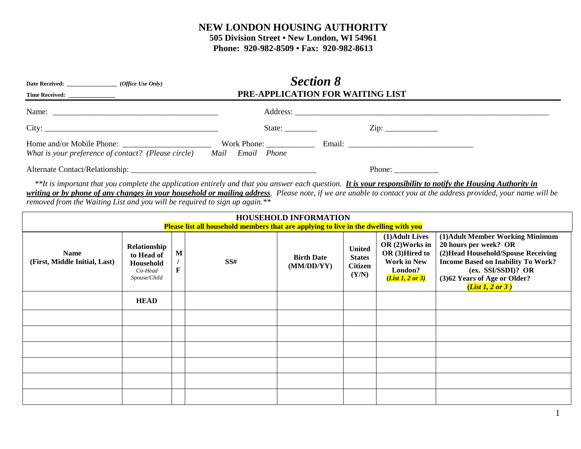## **NEW LONDON HOUSING AUTHORITY 505 Division Street • New London, WI 54961**

**Phone: 920-982-8509 • Fax: 920-982-8613**

|                                                                                                                                                                                                                                                                                                                                                                                                                |                                                                           |        |     | <b>Section 8</b><br>PRE-APPLICATION FOR WAITING LIST    |                                                           |                                                                                                           |                                                                                                                                                                                                                         |  |
|----------------------------------------------------------------------------------------------------------------------------------------------------------------------------------------------------------------------------------------------------------------------------------------------------------------------------------------------------------------------------------------------------------------|---------------------------------------------------------------------------|--------|-----|---------------------------------------------------------|-----------------------------------------------------------|-----------------------------------------------------------------------------------------------------------|-------------------------------------------------------------------------------------------------------------------------------------------------------------------------------------------------------------------------|--|
|                                                                                                                                                                                                                                                                                                                                                                                                                |                                                                           |        |     |                                                         |                                                           |                                                                                                           |                                                                                                                                                                                                                         |  |
|                                                                                                                                                                                                                                                                                                                                                                                                                |                                                                           |        |     |                                                         |                                                           |                                                                                                           |                                                                                                                                                                                                                         |  |
| What is your preference of contact? (Please circle) Mail Email Phone                                                                                                                                                                                                                                                                                                                                           |                                                                           |        |     |                                                         |                                                           |                                                                                                           |                                                                                                                                                                                                                         |  |
|                                                                                                                                                                                                                                                                                                                                                                                                                |                                                                           |        |     | Phone: $\frac{1}{\sqrt{1-\frac{1}{2}}\cdot\frac{1}{2}}$ |                                                           |                                                                                                           |                                                                                                                                                                                                                         |  |
| **It is important that you complete the application entirely and that you answer each question. It is your responsibility to notify the Housing Authority in<br>writing or by phone of any changes in your household or mailing address. Please note, if we are unable to contact you at the address provided, your name will be<br>removed from the Waiting List and you will be required to sign up again.** |                                                                           |        |     |                                                         |                                                           |                                                                                                           |                                                                                                                                                                                                                         |  |
| <b>HOUSEHOLD INFORMATION</b><br><b>Please list all household members that are applying to live in the dwelling with you</b>                                                                                                                                                                                                                                                                                    |                                                                           |        |     |                                                         |                                                           |                                                                                                           |                                                                                                                                                                                                                         |  |
| <b>Name</b><br>(First, Middle Initial, Last)                                                                                                                                                                                                                                                                                                                                                                   | Relationship<br>to Head of<br><b>Household</b><br>Co-Head<br>Spouse/Child | M<br>F | SS# | <b>Birth Date</b><br>(MM/DD/YY)                         | <b>United</b><br><b>States</b><br><b>Citizen</b><br>(Y/N) | (1) Adult Lives<br>OR (2) Works in<br>OR (3)Hired to<br><b>Work in New</b><br>London?<br>(List 1, 2 or 3) | (1) Adult Member Working Minimum<br>20 hours per week? OR<br>(2) Head Household/Spouse Receiving<br><b>Income Based on Inability To Work?</b><br>(ex. SSI/SSDI)? OR<br>(3)62 Years of Age or Older?<br>(List 1, 2 or 3) |  |
|                                                                                                                                                                                                                                                                                                                                                                                                                | <b>HEAD</b>                                                               |        |     |                                                         |                                                           |                                                                                                           |                                                                                                                                                                                                                         |  |
|                                                                                                                                                                                                                                                                                                                                                                                                                |                                                                           |        |     |                                                         |                                                           |                                                                                                           |                                                                                                                                                                                                                         |  |
|                                                                                                                                                                                                                                                                                                                                                                                                                |                                                                           |        |     |                                                         |                                                           |                                                                                                           |                                                                                                                                                                                                                         |  |
|                                                                                                                                                                                                                                                                                                                                                                                                                |                                                                           |        |     |                                                         |                                                           |                                                                                                           |                                                                                                                                                                                                                         |  |
|                                                                                                                                                                                                                                                                                                                                                                                                                |                                                                           |        |     |                                                         |                                                           |                                                                                                           |                                                                                                                                                                                                                         |  |
|                                                                                                                                                                                                                                                                                                                                                                                                                |                                                                           |        |     |                                                         |                                                           |                                                                                                           |                                                                                                                                                                                                                         |  |
|                                                                                                                                                                                                                                                                                                                                                                                                                |                                                                           |        |     |                                                         |                                                           |                                                                                                           |                                                                                                                                                                                                                         |  |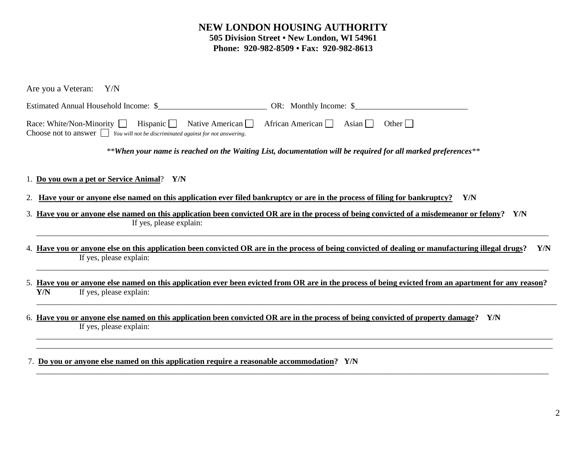## **NEW LONDON HOUSING AUTHORITY 505 Division Street • New London, WI 54961 Phone: 920-982-8509 • Fax: 920-982-8613**

| Are you a Veteran: Y/N                                                                                                                                                                                              |  |  |  |  |  |  |  |
|---------------------------------------------------------------------------------------------------------------------------------------------------------------------------------------------------------------------|--|--|--|--|--|--|--|
|                                                                                                                                                                                                                     |  |  |  |  |  |  |  |
| African American $\Box$ Asian $\Box$<br>Race: White/Non-Minority Hispanic Native American<br>Other $\vert$<br>Choose not to answer <u>show that</u> <i>You will not be discriminated against for not answering.</i> |  |  |  |  |  |  |  |
| **When your name is reached on the Waiting List, documentation will be required for all marked preferences**                                                                                                        |  |  |  |  |  |  |  |
| 1. Do you own a pet or Service Animal? Y/N                                                                                                                                                                          |  |  |  |  |  |  |  |
| <u>Have your or anyone else named on this application ever filed bankruptcy or are in the process of filing for bankruptcy?</u><br>Y/N<br>2.                                                                        |  |  |  |  |  |  |  |
| 3. Have you or anyone else named on this application been convicted OR are in the process of being convicted of a misdemeanor or felony? Y/N<br>If yes, please explain:                                             |  |  |  |  |  |  |  |
| 4. Have you or anyone else on this application been convicted OR are in the process of being convicted of dealing or manufacturing illegal drugs?<br>Y/N<br>If yes, please explain:                                 |  |  |  |  |  |  |  |
| 5. Have you or anyone else named on this application ever been evicted from OR are in the process of being evicted from an apartment for any reason?<br>Y/N<br>If yes, please explain:                              |  |  |  |  |  |  |  |
| 6. Have you or anyone else named on this application been convicted OR are in the process of being convicted of property damage?<br>Y/N<br>If yes, please explain:                                                  |  |  |  |  |  |  |  |
|                                                                                                                                                                                                                     |  |  |  |  |  |  |  |

\_\_\_\_\_\_\_\_\_\_\_\_\_\_\_\_\_\_\_\_\_\_\_\_\_\_\_\_\_\_\_\_\_\_\_\_\_\_\_\_\_\_\_\_\_\_\_\_\_\_\_\_\_\_\_\_\_\_\_\_\_\_\_\_\_\_\_\_\_\_\_\_\_\_\_\_\_\_\_\_\_\_\_\_\_\_\_\_\_\_\_\_\_\_\_\_\_\_\_\_\_\_\_\_\_\_\_\_\_\_\_\_\_\_\_\_\_\_\_\_\_\_\_\_\_\_\_

7. **Do you or anyone else named on this application require a reasonable accommodation?****Y/N**